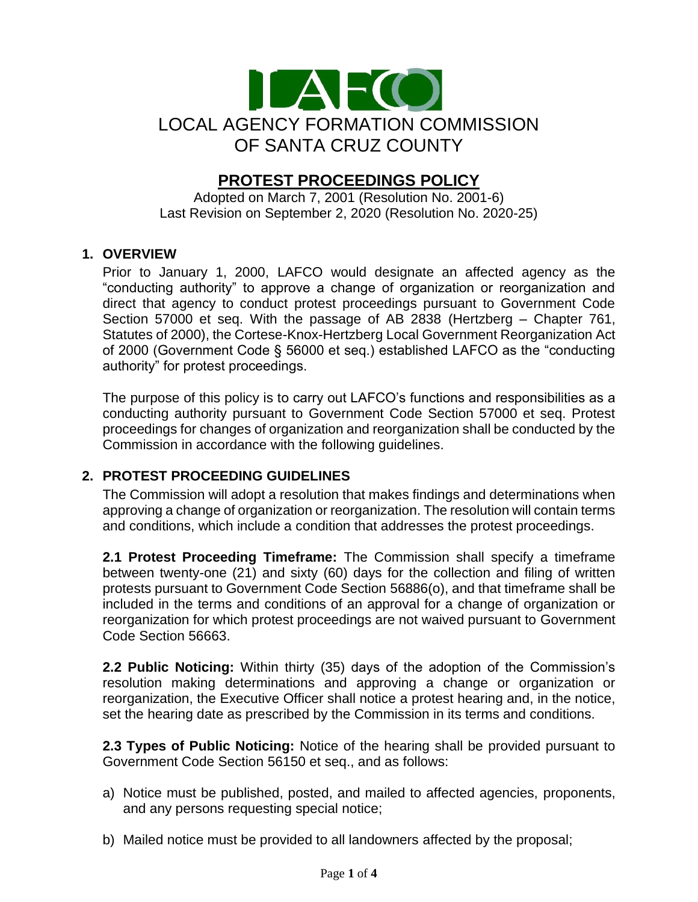

# **PROTEST PROCEEDINGS POLICY**

Adopted on March 7, 2001 (Resolution No. 2001-6) Last Revision on September 2, 2020 (Resolution No. 2020-25)

#### **1. OVERVIEW**

Prior to January 1, 2000, LAFCO would designate an affected agency as the "conducting authority" to approve a change of organization or reorganization and direct that agency to conduct protest proceedings pursuant to Government Code Section 57000 et seq. With the passage of AB 2838 (Hertzberg – Chapter 761, Statutes of 2000), the Cortese-Knox-Hertzberg Local Government Reorganization Act of 2000 (Government Code § 56000 et seq.) established LAFCO as the "conducting authority" for protest proceedings.

The purpose of this policy is to carry out LAFCO's functions and responsibilities as a conducting authority pursuant to Government Code Section 57000 et seq. Protest proceedings for changes of organization and reorganization shall be conducted by the Commission in accordance with the following guidelines.

### **2. PROTEST PROCEEDING GUIDELINES**

The Commission will adopt a resolution that makes findings and determinations when approving a change of organization or reorganization. The resolution will contain terms and conditions, which include a condition that addresses the protest proceedings.

**2.1 Protest Proceeding Timeframe:** The Commission shall specify a timeframe between twenty-one (21) and sixty (60) days for the collection and filing of written protests pursuant to Government Code Section 56886(o), and that timeframe shall be included in the terms and conditions of an approval for a change of organization or reorganization for which protest proceedings are not waived pursuant to Government Code Section 56663.

**2.2 Public Noticing:** Within thirty (35) days of the adoption of the Commission's resolution making determinations and approving a change or organization or reorganization, the Executive Officer shall notice a protest hearing and, in the notice, set the hearing date as prescribed by the Commission in its terms and conditions.

**2.3 Types of Public Noticing:** Notice of the hearing shall be provided pursuant to Government Code Section 56150 et seq., and as follows:

- a) Notice must be published, posted, and mailed to affected agencies, proponents, and any persons requesting special notice;
- b) Mailed notice must be provided to all landowners affected by the proposal;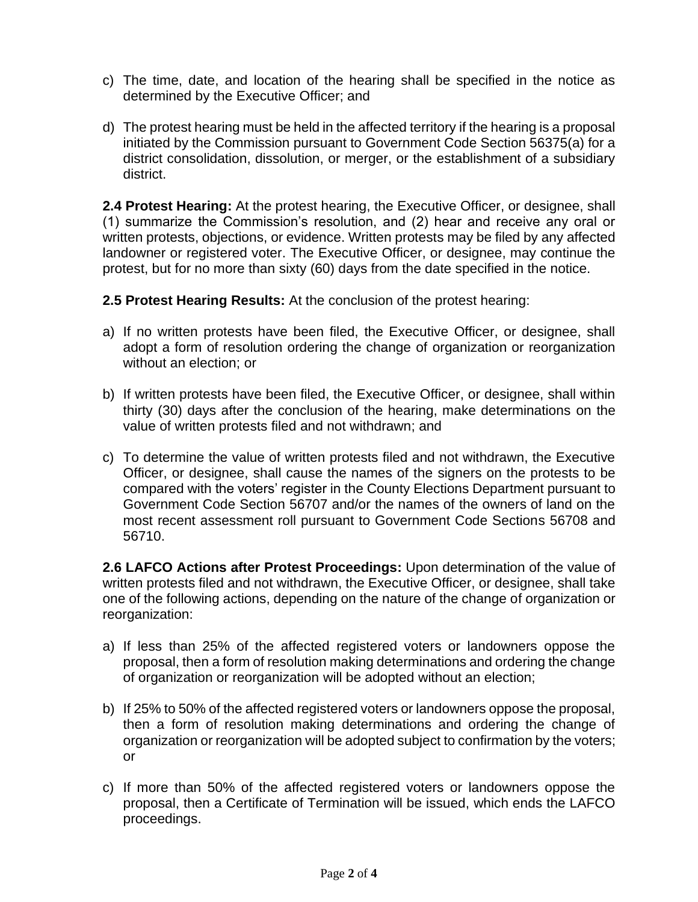- c) The time, date, and location of the hearing shall be specified in the notice as determined by the Executive Officer; and
- d) The protest hearing must be held in the affected territory if the hearing is a proposal initiated by the Commission pursuant to Government Code Section 56375(a) for a district consolidation, dissolution, or merger, or the establishment of a subsidiary district.

**2.4 Protest Hearing:** At the protest hearing, the Executive Officer, or designee, shall (1) summarize the Commission's resolution, and (2) hear and receive any oral or written protests, objections, or evidence. Written protests may be filed by any affected landowner or registered voter. The Executive Officer, or designee, may continue the protest, but for no more than sixty (60) days from the date specified in the notice.

**2.5 Protest Hearing Results:** At the conclusion of the protest hearing:

- a) If no written protests have been filed, the Executive Officer, or designee, shall adopt a form of resolution ordering the change of organization or reorganization without an election; or
- b) If written protests have been filed, the Executive Officer, or designee, shall within thirty (30) days after the conclusion of the hearing, make determinations on the value of written protests filed and not withdrawn; and
- c) To determine the value of written protests filed and not withdrawn, the Executive Officer, or designee, shall cause the names of the signers on the protests to be compared with the voters' register in the County Elections Department pursuant to Government Code Section 56707 and/or the names of the owners of land on the most recent assessment roll pursuant to Government Code Sections 56708 and 56710.

**2.6 LAFCO Actions after Protest Proceedings:** Upon determination of the value of written protests filed and not withdrawn, the Executive Officer, or designee, shall take one of the following actions, depending on the nature of the change of organization or reorganization:

- a) If less than 25% of the affected registered voters or landowners oppose the proposal, then a form of resolution making determinations and ordering the change of organization or reorganization will be adopted without an election;
- b) If 25% to 50% of the affected registered voters or landowners oppose the proposal, then a form of resolution making determinations and ordering the change of organization or reorganization will be adopted subject to confirmation by the voters; or
- c) If more than 50% of the affected registered voters or landowners oppose the proposal, then a Certificate of Termination will be issued, which ends the LAFCO proceedings.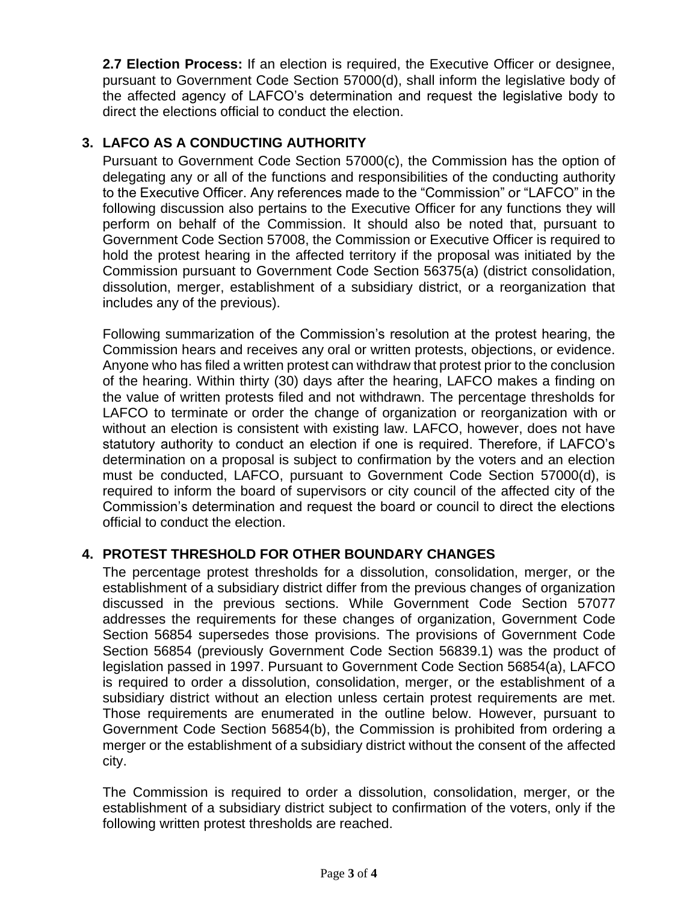**2.7 Election Process:** If an election is required, the Executive Officer or designee, pursuant to Government Code Section 57000(d), shall inform the legislative body of the affected agency of LAFCO's determination and request the legislative body to direct the elections official to conduct the election.

## **3. LAFCO AS A CONDUCTING AUTHORITY**

Pursuant to Government Code Section 57000(c), the Commission has the option of delegating any or all of the functions and responsibilities of the conducting authority to the Executive Officer. Any references made to the "Commission" or "LAFCO" in the following discussion also pertains to the Executive Officer for any functions they will perform on behalf of the Commission. It should also be noted that, pursuant to Government Code Section 57008, the Commission or Executive Officer is required to hold the protest hearing in the affected territory if the proposal was initiated by the Commission pursuant to Government Code Section 56375(a) (district consolidation, dissolution, merger, establishment of a subsidiary district, or a reorganization that includes any of the previous).

Following summarization of the Commission's resolution at the protest hearing, the Commission hears and receives any oral or written protests, objections, or evidence. Anyone who has filed a written protest can withdraw that protest prior to the conclusion of the hearing. Within thirty (30) days after the hearing, LAFCO makes a finding on the value of written protests filed and not withdrawn. The percentage thresholds for LAFCO to terminate or order the change of organization or reorganization with or without an election is consistent with existing law. LAFCO, however, does not have statutory authority to conduct an election if one is required. Therefore, if LAFCO's determination on a proposal is subject to confirmation by the voters and an election must be conducted, LAFCO, pursuant to Government Code Section 57000(d), is required to inform the board of supervisors or city council of the affected city of the Commission's determination and request the board or council to direct the elections official to conduct the election.

### **4. PROTEST THRESHOLD FOR OTHER BOUNDARY CHANGES**

The percentage protest thresholds for a dissolution, consolidation, merger, or the establishment of a subsidiary district differ from the previous changes of organization discussed in the previous sections. While Government Code Section 57077 addresses the requirements for these changes of organization, Government Code Section 56854 supersedes those provisions. The provisions of Government Code Section 56854 (previously Government Code Section 56839.1) was the product of legislation passed in 1997. Pursuant to Government Code Section 56854(a), LAFCO is required to order a dissolution, consolidation, merger, or the establishment of a subsidiary district without an election unless certain protest requirements are met. Those requirements are enumerated in the outline below. However, pursuant to Government Code Section 56854(b), the Commission is prohibited from ordering a merger or the establishment of a subsidiary district without the consent of the affected city.

The Commission is required to order a dissolution, consolidation, merger, or the establishment of a subsidiary district subject to confirmation of the voters, only if the following written protest thresholds are reached.